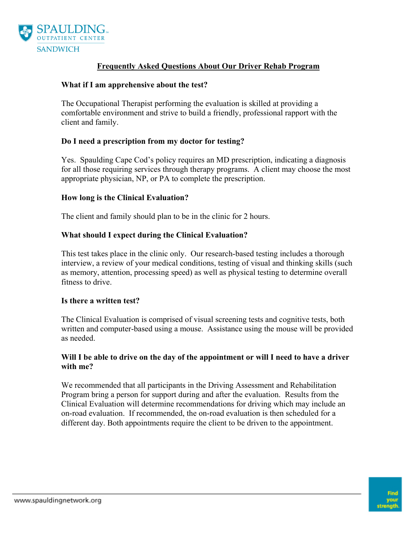

# **Frequently Asked Questions About Our Driver Rehab Program**

### **What if I am apprehensive about the test?**

The Occupational Therapist performing the evaluation is skilled at providing a comfortable environment and strive to build a friendly, professional rapport with the client and family.

### **Do I need a prescription from my doctor for testing?**

Yes. Spaulding Cape Cod's policy requires an MD prescription, indicating a diagnosis for all those requiring services through therapy programs. A client may choose the most appropriate physician, NP, or PA to complete the prescription.

#### **How long is the Clinical Evaluation?**

The client and family should plan to be in the clinic for 2 hours.

### **What should I expect during the Clinical Evaluation?**

This test takes place in the clinic only. Our research-based testing includes a thorough interview, a review of your medical conditions, testing of visual and thinking skills (such as memory, attention, processing speed) as well as physical testing to determine overall fitness to drive.

#### **Is there a written test?**

The Clinical Evaluation is comprised of visual screening tests and cognitive tests, both written and computer-based using a mouse. Assistance using the mouse will be provided as needed.

### **Will I be able to drive on the day of the appointment or will I need to have a driver with me?**

We recommended that all participants in the Driving Assessment and Rehabilitation Program bring a person for support during and after the evaluation. Results from the Clinical Evaluation will determine recommendations for driving which may include an on-road evaluation. If recommended, the on-road evaluation is then scheduled for a different day. Both appointments require the client to be driven to the appointment.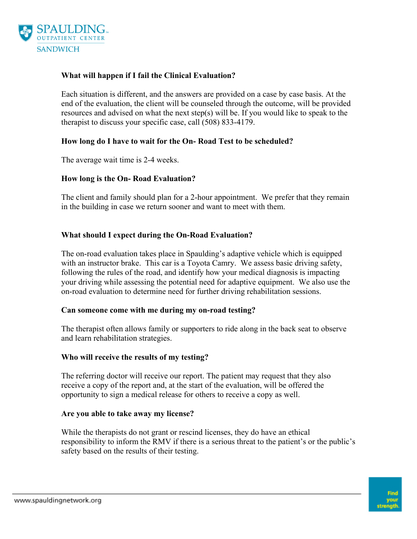

# **What will happen if I fail the Clinical Evaluation?**

Each situation is different, and the answers are provided on a case by case basis. At the end of the evaluation, the client will be counseled through the outcome, will be provided resources and advised on what the next step(s) will be. If you would like to speak to the therapist to discuss your specific case, call (508) 833-4179.

## **How long do I have to wait for the On- Road Test to be scheduled?**

The average wait time is 2-4 weeks.

## **How long is the On- Road Evaluation?**

The client and family should plan for a 2-hour appointment. We prefer that they remain in the building in case we return sooner and want to meet with them.

## **What should I expect during the On-Road Evaluation?**

The on-road evaluation takes place in Spaulding's adaptive vehicle which is equipped with an instructor brake. This car is a Toyota Camry. We assess basic driving safety, following the rules of the road, and identify how your medical diagnosis is impacting your driving while assessing the potential need for adaptive equipment. We also use the on-road evaluation to determine need for further driving rehabilitation sessions.

### **Can someone come with me during my on-road testing?**

The therapist often allows family or supporters to ride along in the back seat to observe and learn rehabilitation strategies.

### **Who will receive the results of my testing?**

The referring doctor will receive our report. The patient may request that they also receive a copy of the report and, at the start of the evaluation, will be offered the opportunity to sign a medical release for others to receive a copy as well.

### **Are you able to take away my license?**

While the therapists do not grant or rescind licenses, they do have an ethical responsibility to inform the RMV if there is a serious threat to the patient's or the public's safety based on the results of their testing.